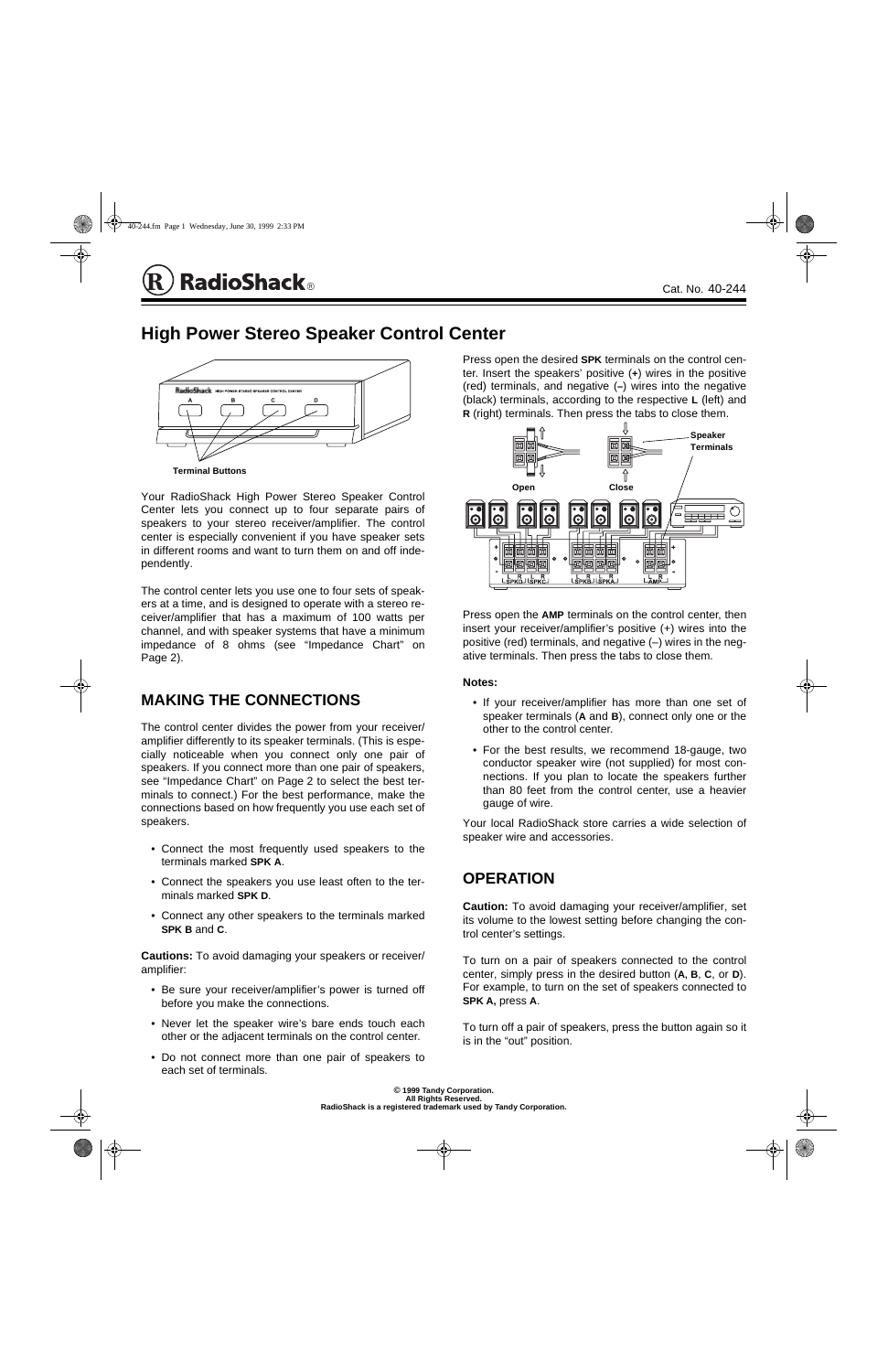Your RadioShack High Power Stereo Speaker Control Center lets you connect up to four separate pairs of speakers to your stereo receiver/amplifier. The control center is especially convenient if you have speaker sets in different rooms and want to turn them on and off independently.

The control center lets you use one to four sets of speakers at a time, and is designed to operate with a stereo receiver/amplifier that has a maximum of 100 watts per channel, and with speaker systems that have a minimum impedance of 8 ohms (see "Impedance Chart" on Page 2).

# **MAKING THE CONNECTIONS**

The control center divides the power from your receiver/ amplifier differently to its speaker terminals. (This is especially noticeable when you connect only one pair of speakers. If you connect more than one pair of speakers, see "Impedance Chart" on Page 2 to select the best terminals to connect.) For the best performance, make the connections based on how frequently you use each set of speakers.

- Connect the most frequently used speakers to the terminals marked **SPK A**.
- Connect the speakers you use least often to the terminals marked **SPK D**.
- Connect any other speakers to the terminals marked **SPK B** and **C**.

**Cautions:** To avoid damaging your speakers or receiver/ amplifier:

• Be sure your receiver/amplifier's power is turned off before you make the connections.

- Never let the speaker wire's bare ends touch each other or the adjacent terminals on the control center.
- Do not connect more than one pair of speakers to each set of terminals.

Press open the desired **SPK** terminals on the control center. Insert the speakers' positive (**+**) wires in the positive (red) terminals, and negative (**–**) wires into the negative (black) terminals, according to the respective **L** (left) and **R** (right) terminals. Then press the tabs to close them.

Press open the **AMP** terminals on the control center, then insert your receiver/amplifier's positive (+) wires into the positive (red) terminals, and negative (–) wires in the negative terminals. Then press the tabs to close them.

#### **Notes:**

- If your receiver/amplifier has more than one set of speaker terminals (**A** and **B**), connect only one or the other to the control center.
- For the best results, we recommend 18-gauge, two conductor speaker wire (not supplied) for most connections. If you plan to locate the speakers further than 80 feet from the control center, use a heavier gauge of wire.

Your local RadioShack store carries a wide selection of speaker wire and accessories.

### **OPERATION**

**Caution:** To avoid damaging your receiver/amplifier, set its volume to the lowest setting before changing the control center's settings.

To turn on a pair of speakers connected to the control center, simply press in the desired button (**A, B**, **C**, or **D**). For example, to turn on the set of speakers connected to **SPK A,** press **A**.

To turn off a pair of speakers, press the button again so it is in the "out" position.





Cat. No. 40-244

**High Power Stereo Speaker Control Center**

**© 1999 Tandy Corporation. All Rights Reserved. RadioShack is a registered trademark used by Tandy Corporation.**





# **RadioShack**®